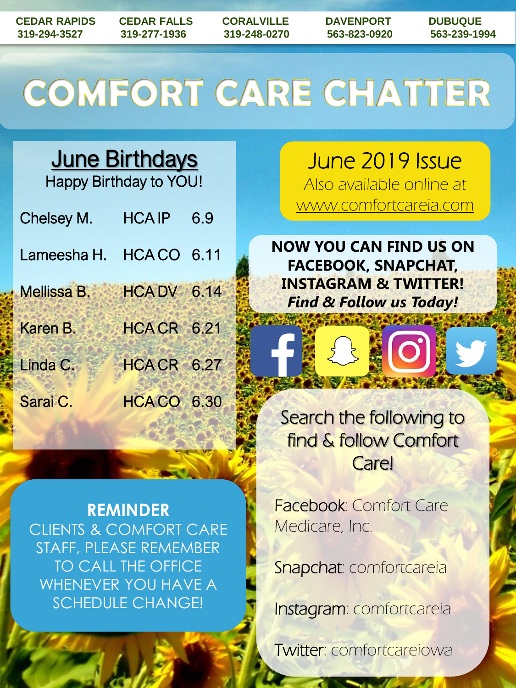## COMFORT CARE CHATTER

**June Birthdays** Happy Birthday to YOU!

| Chelsey M.              | <b>HCAIP</b>       | 6.9 |
|-------------------------|--------------------|-----|
| Lameesha H. HCA CO 6.11 |                    |     |
| Mellissa B.             | <b>HCA DV 6.14</b> |     |
| Karen B.                | <b>HCACR 6.21</b>  |     |
| Linda C.                | HCACR 6.27         |     |
| Sarai C.                | <b>HCACO 6.30</b>  |     |

**REMINDER** CLIENTS & COMFORT CARE STAFF, PLEASE REMEMBER TO CALL THE OFFICE WHENEVER YOU HAVE A SCHEDULE CHANGE!

June 2019 Issue Also available online at www.comfortcareia.com

**NOW YOU CAN FIND US ON FACEBOOK, SNAPCHAT, INSTAGRAM & TWITTER!** *Find & Follow us Today!*

Search the following to find & follow Comfort Care!

Facebook: Comfort Care Medicare, Inc.

Snapchat: comfortcareia

Instagram: comfortcareia

Twitter: comfortcareiowa